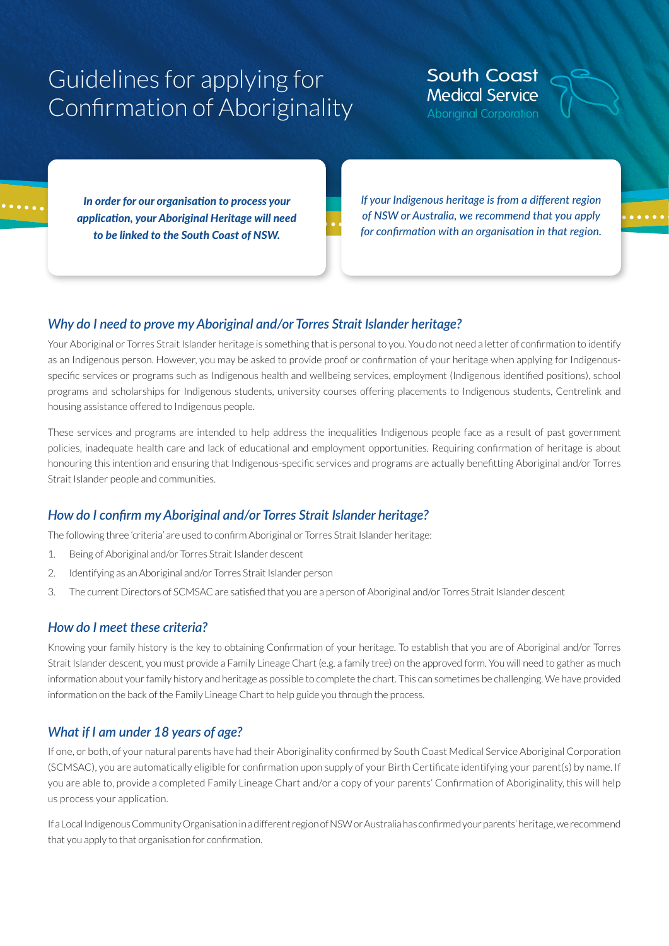# Guidelines for applying for Confirmation of Aboriginality

**South Coast Medical Service** 

*In order for our organisation to process your application, your Aboriginal Heritage will need to be linked to the South Coast of NSW.* 

*If your Indigenous heritage is from a different region of NSW or Australia, we recommend that you apply for confirmation with an organisation in that region.*

#### *Why do I need to prove my Aboriginal and/or Torres Strait Islander heritage?*

Your Aboriginal or Torres Strait Islander heritage is something that is personal to you. You do not need a letter of confirmation to identify as an Indigenous person. However, you may be asked to provide proof or confirmation of your heritage when applying for Indigenousspecific services or programs such as Indigenous health and wellbeing services, employment (Indigenous identified positions), school programs and scholarships for Indigenous students, university courses offering placements to Indigenous students, Centrelink and housing assistance offered to Indigenous people.

These services and programs are intended to help address the inequalities Indigenous people face as a result of past government policies, inadequate health care and lack of educational and employment opportunities. Requiring confirmation of heritage is about honouring this intention and ensuring that Indigenous-specific services and programs are actually benefitting Aboriginal and/or Torres Strait Islander people and communities.

#### *How do I confirm my Aboriginal and/or Torres Strait Islander heritage?*

The following three 'criteria' are used to confirm Aboriginal or Torres Strait Islander heritage:

- 1. Being of Aboriginal and/or Torres Strait Islander descent
- 2. Identifying as an Aboriginal and/or Torres Strait Islander person
- 3. The current Directors of SCMSAC are satisfied that you are a person of Aboriginal and/or Torres Strait Islander descent

#### *How do I meet these criteria?*

Knowing your family history is the key to obtaining Confirmation of your heritage. To establish that you are of Aboriginal and/or Torres Strait Islander descent, you must provide a Family Lineage Chart (e.g. a family tree) on the approved form. You will need to gather as much information about your family history and heritage as possible to complete the chart. This can sometimes be challenging. We have provided information on the back of the Family Lineage Chart to help guide you through the process.

#### *What if I am under 18 years of age?*

If one, or both, of your natural parents have had their Aboriginality confirmed by South Coast Medical Service Aboriginal Corporation (SCMSAC), you are automatically eligible for confirmation upon supply of your Birth Certificate identifying your parent(s) by name. If you are able to, provide a completed Family Lineage Chart and/or a copy of your parents' Confirmation of Aboriginality, this will help us process your application.

If a Local Indigenous Community Organisation in a different region of NSW or Australia has confirmed your parents' heritage, we recommend that you apply to that organisation for confirmation.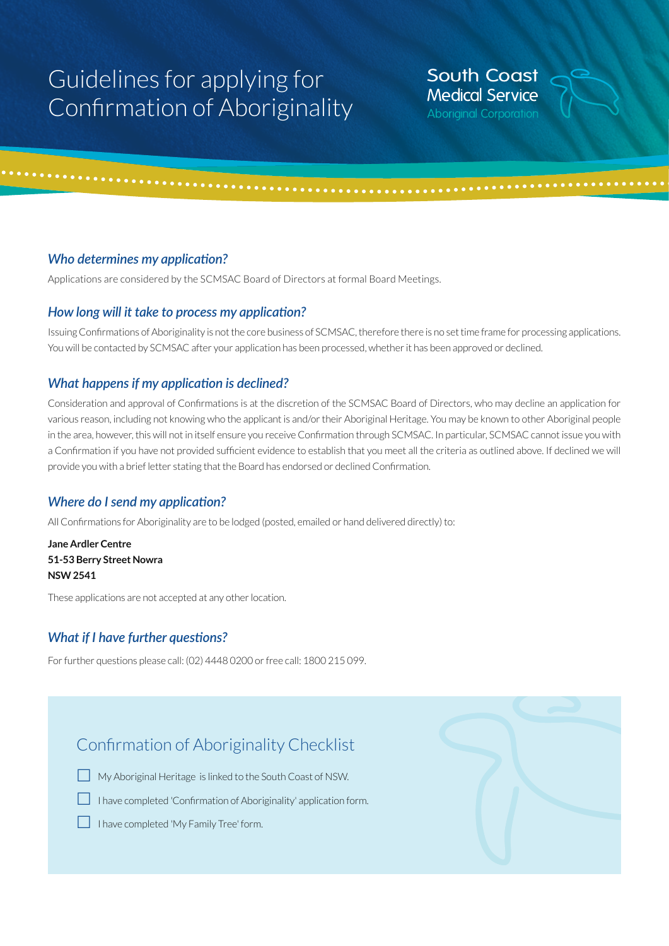## Guidelines for applying for Confirmation of Aboriginality

## **South Coast Medical Service**

#### *Who determines my application?*

Applications are considered by the SCMSAC Board of Directors at formal Board Meetings.

#### *How long will it take to process my application?*

Issuing Confirmations of Aboriginality is not the core business of SCMSAC, therefore there is no set time frame for processing applications. You will be contacted by SCMSAC after your application has been processed, whether it has been approved or declined.

#### *What happens if my application is declined?*

Consideration and approval of Confirmations is at the discretion of the SCMSAC Board of Directors, who may decline an application for various reason, including not knowing who the applicant is and/or their Aboriginal Heritage. You may be known to other Aboriginal people in the area, however, this will not in itself ensure you receive Confirmation through SCMSAC. In particular, SCMSAC cannot issue you with a Confirmation if you have not provided sufficient evidence to establish that you meet all the criteria as outlined above. If declined we will provide you with a brief letter stating that the Board has endorsed or declined Confirmation.

#### *Where do I send my application?*

All Confirmations for Aboriginality are to be lodged (posted, emailed or hand delivered directly) to:

**Jane Ardler Centre 51-53 Berry Street Nowra NSW 2541**

These applications are not accepted at any other location.

#### *What if I have further questions?*

For further questions please call: (02) 4448 0200 or free call: 1800 215 099.

### Confirmation of Aboriginality Checklist



My Aboriginal Heritage is linked to the South Coast of NSW.

I have completed 'Confirmation of Aboriginality' application form.

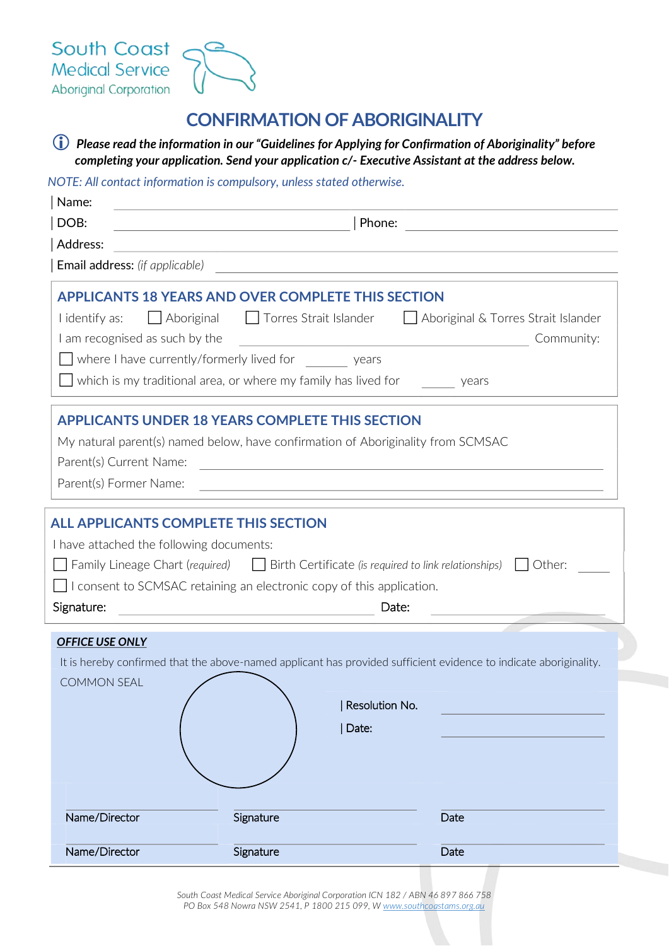

## **CONFIRMATION OF ABORIGINALITY**

<sup>1</sup> *Please read the information in our "Guidelines for Applying for Confirmation of Aboriginality" before completing your application. Send your application c/- Executive Assistant at the address below.*

#### *NOTE: All contact information is compulsory, unless stated otherwise.*

| Name:                                                                                                 |                                                                                                                                                                                                                                           |                                                                                                                                     |
|-------------------------------------------------------------------------------------------------------|-------------------------------------------------------------------------------------------------------------------------------------------------------------------------------------------------------------------------------------------|-------------------------------------------------------------------------------------------------------------------------------------|
| DOB:                                                                                                  |                                                                                                                                                                                                                                           | Phone:                                                                                                                              |
| Address:                                                                                              | <u> 1989 - Johann Stein, fransk politik (d. 1989)</u>                                                                                                                                                                                     |                                                                                                                                     |
| <b>Email address:</b> (if applicable)                                                                 |                                                                                                                                                                                                                                           | <u> 1989 - Johann Barbara, martxa eta batarra (h. 1989).</u>                                                                        |
| I identify as:<br>I am recognised as such by the                                                      | <b>APPLICANTS 18 YEARS AND OVER COMPLETE THIS SECTION</b><br>Aboriginal   Torres Strait Islander<br>$\Box$ where I have currently/formerly lived for $\Box$ years<br>which is my traditional area, or where my family has lived for years | Aboriginal & Torres Strait Islander<br>Community:<br><u> 1980 - Johann Barbara, martxa alemaniar arg</u>                            |
| Parent(s) Current Name:<br>Parent(s) Former Name:                                                     | <b>APPLICANTS UNDER 18 YEARS COMPLETE THIS SECTION</b><br>My natural parent(s) named below, have confirmation of Aboriginality from SCMSAC                                                                                                | and the control of the control of the control of the control of the control of the control of the control of the                    |
| <b>ALL APPLICANTS COMPLETE THIS SECTION</b><br>I have attached the following documents:<br>Signature: | $\Box$ I consent to SCMSAC retaining an electronic copy of this application.                                                                                                                                                              | $\Box$ Family Lineage Chart (required) $\Box$ Birth Certificate (is required to link relationships) $\Box$ Other:<br>Date:          |
| <b>OFFICE USE ONLY</b><br><b>COMMON SEAL</b>                                                          | Date:                                                                                                                                                                                                                                     | It is hereby confirmed that the above-named applicant has provided sufficient evidence to indicate aboriginality.<br>Resolution No. |
|                                                                                                       |                                                                                                                                                                                                                                           |                                                                                                                                     |
| Name/Director                                                                                         | Signature                                                                                                                                                                                                                                 | Date                                                                                                                                |

*South Coast Medical Service Aboriginal Corporation ICN 182 / ABN 46 897 866 758 PO Box 548 Nowra NSW 2541, P 1800 215 099, W www.southcoastams.org.au*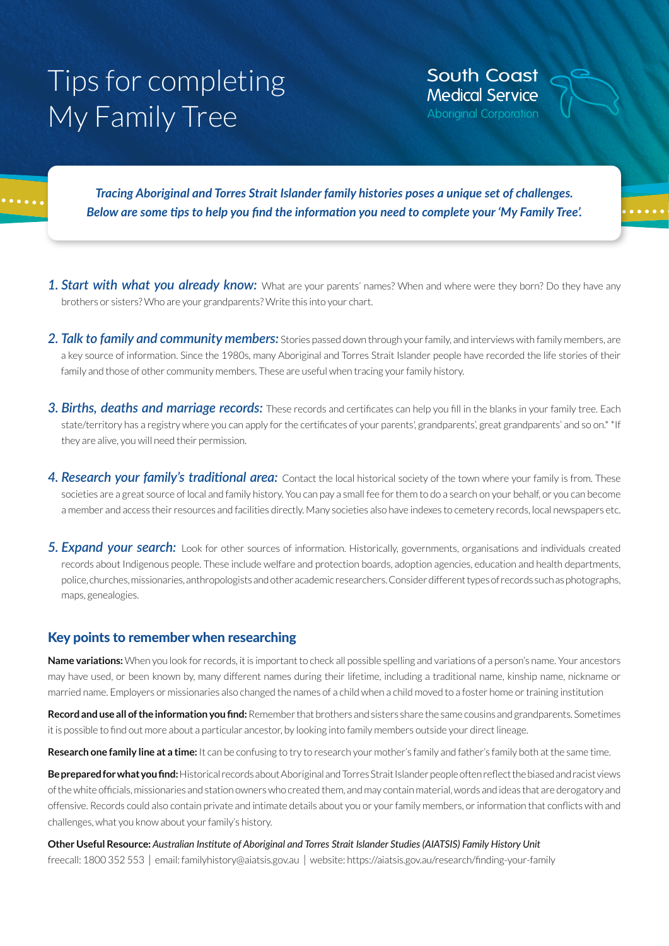# Tips for completing My Family Tree

**South Coast Medical Service Aboriginal Corporation** 

*Tracing Aboriginal and Torres Strait Islander family histories poses a unique set of challenges. Below are some tips to help you find the information you need to complete your 'My Family Tree'.*

- 1. Start with what you already know: What are your parents' names? When and where were they born? Do they have any brothers or sisters? Who are your grandparents? Write this into your chart.
- *2. Talk to family and community members:* Stories passed down through your family, and interviews with family members, are a key source of information. Since the 1980s, many Aboriginal and Torres Strait Islander people have recorded the life stories of their family and those of other community members. These are useful when tracing your family history.
- *3. Births, deaths and marriage records:* These records and certificates can help you fill in the blanks in your family tree. Each state/territory has a registry where you can apply for the certificates of your parents', grandparents', great grandparents' and so on.\* \* If they are alive, you will need their permission.
- *4. Research your family's traditional area:* Contact the local historical society of the town where your family is from. These societies are a great source of local and family history. You can pay a small fee for them to do a search on your behalf, or you can become a member and access their resources and facilities directly. Many societies also have indexes to cemetery records, local newspapers etc.
- *5. Expand your search:* Look for other sources of information. Historically, governments, organisations and individuals created records about Indigenous people. These include welfare and protection boards, adoption agencies, education and health departments, police, churches, missionaries, anthropologists and other academic researchers. Consider different types of records such as photographs, maps, genealogies.

#### Key points to remember when researching

**Name variations:** When you look for records, it is important to check all possible spelling and variations of a person's name. Your ancestors may have used, or been known by, many different names during their lifetime, including a traditional name, kinship name, nickname or married name. Employers or missionaries also changed the names of a child when a child moved to a foster home or training institution

**Record and use all of the information you find:** Remember that brothers and sisters share the same cousins and grandparents. Sometimes it is possible to find out more about a particular ancestor, by looking into family members outside your direct lineage.

**Research one family line at a time:** It can be confusing to try to research your mother's family and father's family both at the same time.

**Be prepared for what you find:** Historical records about Aboriginal and Torres Strait Islander people often reflect the biased and racist views of the white officials, missionaries and station owners who created them, and may contain material, words and ideas that are derogatory and offensive. Records could also contain private and intimate details about you or your family members, or information that conflicts with and challenges, what you know about your family's history.

#### **Other Useful Resource:** *Australian Institute of Aboriginal and Torres Strait Islander Studies (AIATSIS) Family History Unit*  freecall: 1800 352 553 | email: familyhistory@aiatsis.gov.au | website: https://aiatsis.gov.au/research/finding-your-family